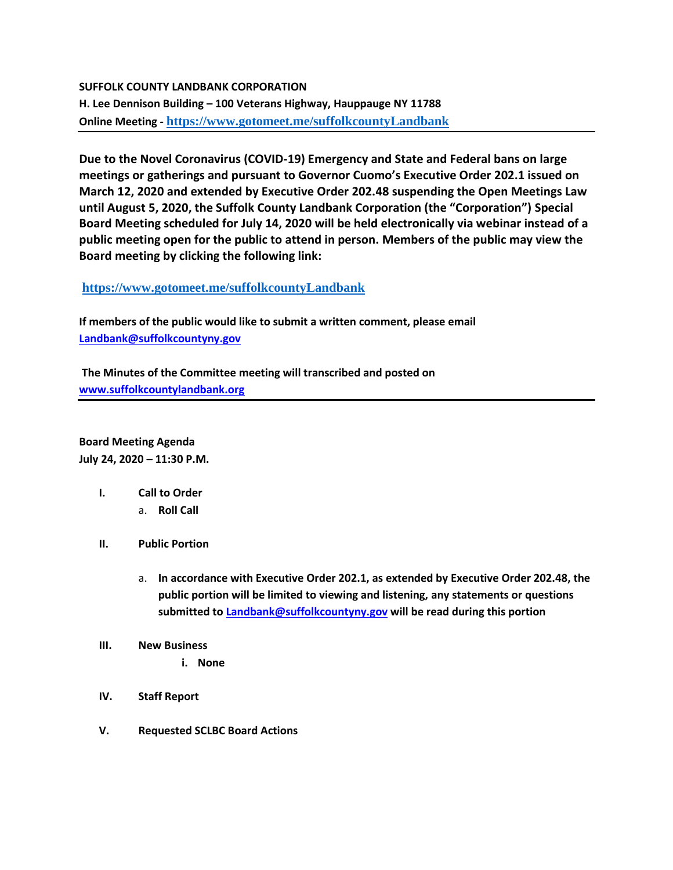### **SUFFOLK COUNTY LANDBANK CORPORATION**

**H. Lee Dennison Building – 100 Veterans Highway, Hauppauge NY 11788 Online Meeting - <https://www.gotomeet.me/suffolkcountyLandbank>**

**Due to the Novel Coronavirus (COVID-19) Emergency and State and Federal bans on large meetings or gatherings and pursuant to Governor Cuomo's Executive Order 202.1 issued on March 12, 2020 and extended by Executive Order 202.48 suspending the Open Meetings Law until August 5, 2020, the Suffolk County Landbank Corporation (the "Corporation") Special Board Meeting scheduled for July 14, 2020 will be held electronically via webinar instead of a public meeting open for the public to attend in person. Members of the public may view the Board meeting by clicking the following link:**

## **<https://www.gotomeet.me/suffolkcountyLandbank>**

**If members of the public would like to submit a written comment, please email [Landbank@suffolkcountyny.gov](mailto:Landbank@suffolkcountyny.gov)**

**The Minutes of the Committee meeting will transcribed and posted on [www.suffolkcountylandbank.org](http://www.suffolkcountylandbank.org/)**

**Board Meeting Agenda July 24, 2020 – 11:30 P.M.**

- **I. Call to Order** 
	- a. **Roll Call**
- **II. Public Portion** 
	- a. **In accordance with Executive Order 202.1, as extended by Executive Order 202.48, the public portion will be limited to viewing and listening, any statements or questions submitted t[o Landbank@suffolkcountyny.gov](mailto:Landbank@suffolkcountyny.gov) will be read during this portion**
- **III. New Business**
	- **i. None**
- **IV. Staff Report**
- **V. Requested SCLBC Board Actions**